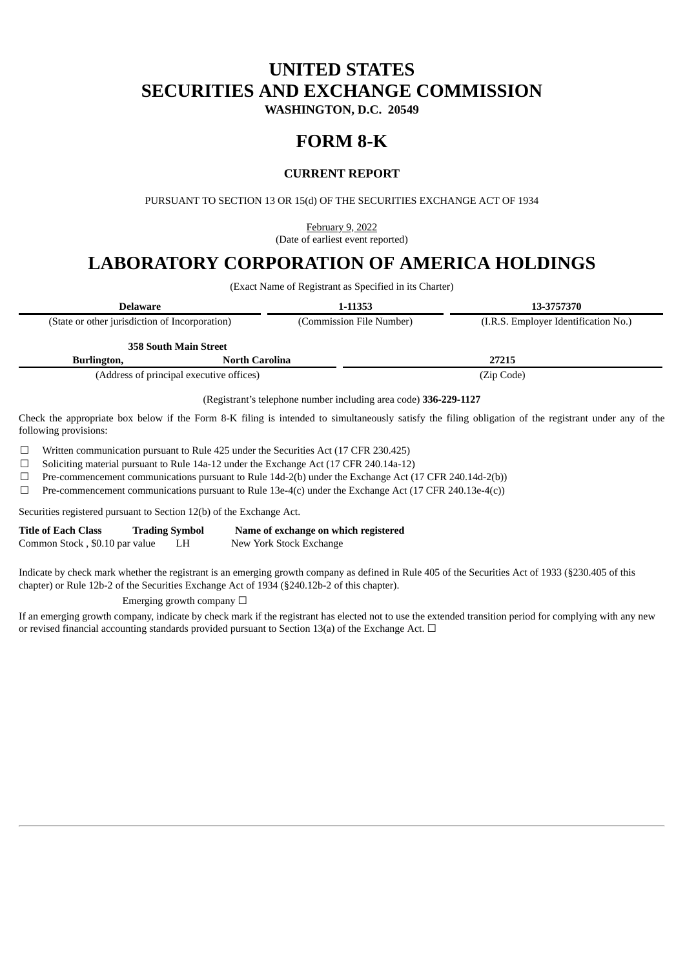# **UNITED STATES SECURITIES AND EXCHANGE COMMISSION**

**WASHINGTON, D.C. 20549**

# **FORM 8-K**

## **CURRENT REPORT**

PURSUANT TO SECTION 13 OR 15(d) OF THE SECURITIES EXCHANGE ACT OF 1934

February 9, 2022 (Date of earliest event reported)

# **LABORATORY CORPORATION OF AMERICA HOLDINGS**

(Exact Name of Registrant as Specified in its Charter)

| Delaware                                       |                                          | 1-11353                  | 13-3757370                           |  |
|------------------------------------------------|------------------------------------------|--------------------------|--------------------------------------|--|
| (State or other jurisdiction of Incorporation) |                                          | (Commission File Number) | (I.R.S. Employer Identification No.) |  |
|                                                | <b>358 South Main Street</b>             |                          |                                      |  |
| Burlington,                                    | North Carolina                           |                          | 27215                                |  |
|                                                | (Address of principal executive offices) |                          | (Zip Code)                           |  |

(Registrant's telephone number including area code) **336-229-1127**

Check the appropriate box below if the Form 8-K filing is intended to simultaneously satisfy the filing obligation of the registrant under any of the following provisions:

☐ Written communication pursuant to Rule 425 under the Securities Act (17 CFR 230.425)

☐ Soliciting material pursuant to Rule 14a-12 under the Exchange Act (17 CFR 240.14a-12)

 $\Box$  Pre-commencement communications pursuant to Rule 14d-2(b) under the Exchange Act (17 CFR 240.14d-2(b))

 $\Box$  Pre-commencement communications pursuant to Rule 13e-4(c) under the Exchange Act (17 CFR 240.13e-4(c))

Securities registered pursuant to Section 12(b) of the Exchange Act.

| <b>Title of Each Class</b>     | <b>Trading Symbol</b> |    | Name of exchange on which registered |
|--------------------------------|-----------------------|----|--------------------------------------|
| Common Stock, \$0.10 par value |                       | LH | New York Stock Exchange              |

Indicate by check mark whether the registrant is an emerging growth company as defined in Rule 405 of the Securities Act of 1933 (§230.405 of this chapter) or Rule 12b-2 of the Securities Exchange Act of 1934 (§240.12b-2 of this chapter).

Emerging growth company  $\Box$ 

If an emerging growth company, indicate by check mark if the registrant has elected not to use the extended transition period for complying with any new or revised financial accounting standards provided pursuant to Section 13(a) of the Exchange Act.  $\Box$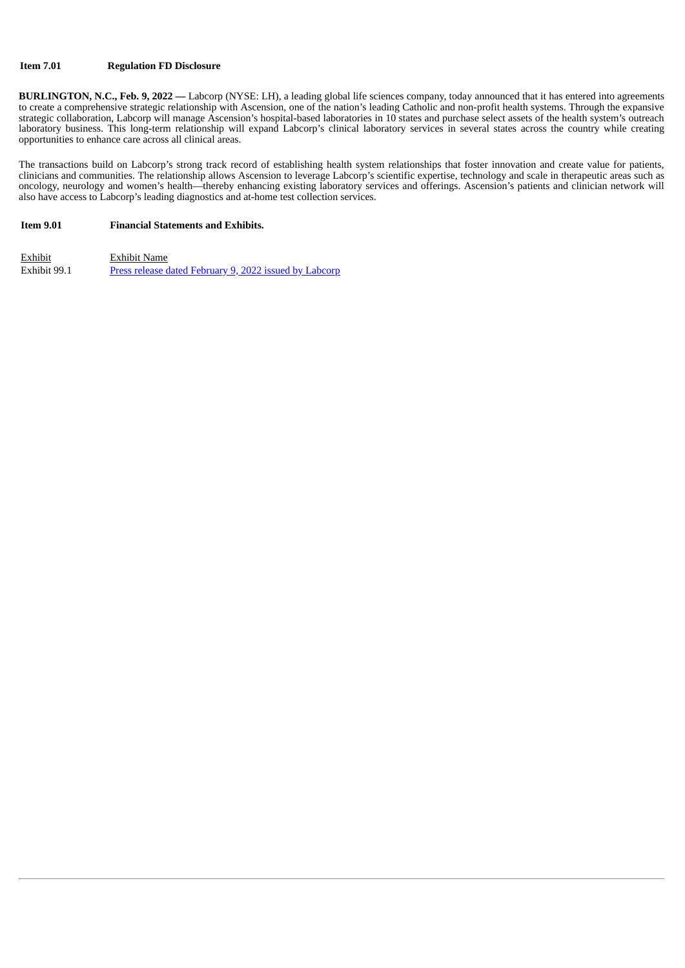### **Item 7.01 Regulation FD Disclosure**

**BURLINGTON, N.C., Feb. 9, 2022 —** Labcorp (NYSE: LH), a leading global life sciences company, today announced that it has entered into agreements to create a comprehensive strategic relationship with Ascension, one of the nation's leading Catholic and non-profit health systems. Through the expansive strategic collaboration, Labcorp will manage Ascension's hospital-based laboratories in 10 states and purchase select assets of the health system's outreach laboratory business. This long-term relationship will expand Labcorp's clinical laboratory services in several states across the country while creating opportunities to enhance care across all clinical areas.

The transactions build on Labcorp's strong track record of establishing health system relationships that foster innovation and create value for patients, clinicians and communities. The relationship allows Ascension to leverage Labcorp's scientific expertise, technology and scale in therapeutic areas such as oncology, neurology and women's health—thereby enhancing existing laboratory services and offerings. Ascension's patients and clinician network will also have access to Labcorp's leading diagnostics and at-home test collection services.

#### **Item 9.01 Financial Statements and Exhibits.**

Exhibit Exhibit Name Exhibit 99.1 Press release dated [February](#page-3-0) 9, 2022 issued by Labcorp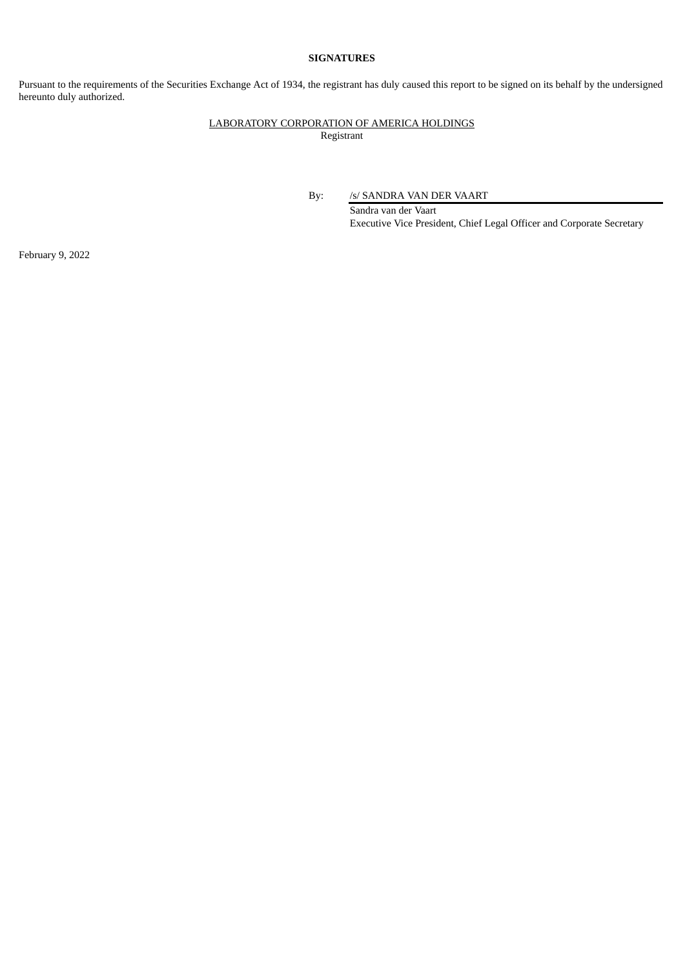### **SIGNATURES**

Pursuant to the requirements of the Securities Exchange Act of 1934, the registrant has duly caused this report to be signed on its behalf by the undersigned hereunto duly authorized.

### LABORATORY CORPORATION OF AMERICA HOLDINGS Registrant

By: /s/ SANDRA VAN DER VAART

Sandra van der Vaart Executive Vice President, Chief Legal Officer and Corporate Secretary

February 9, 2022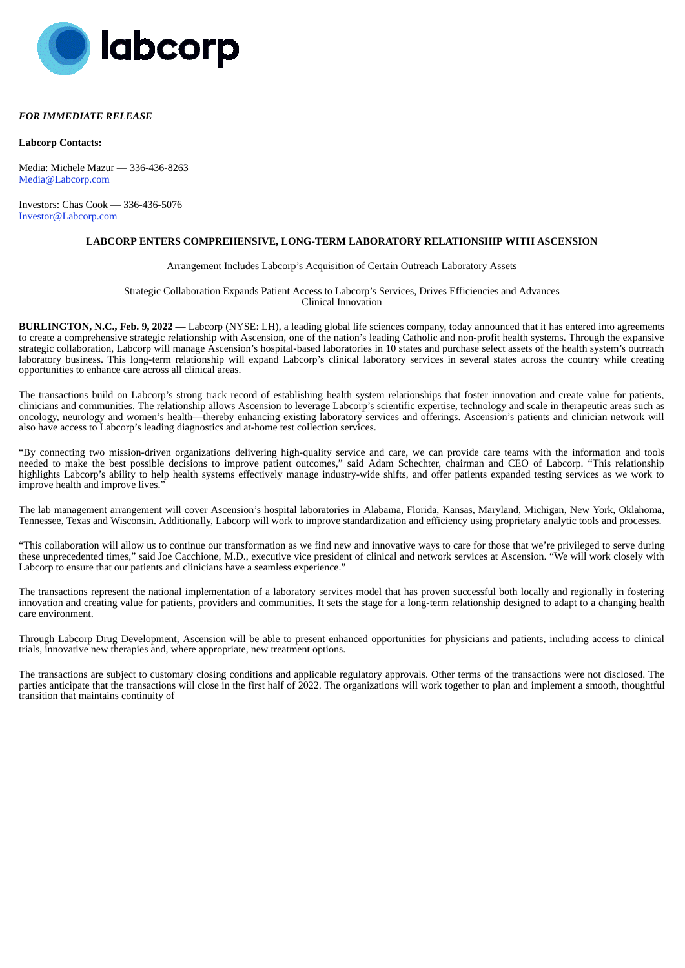<span id="page-3-0"></span>

#### *FOR IMMEDIATE RELEASE*

#### **Labcorp Contacts:**

Media: Michele Mazur — 336-436-8263 Media@Labcorp.com

Investors: Chas Cook — 336-436-5076 Investor@Labcorp.com

#### **LABCORP ENTERS COMPREHENSIVE, LONG-TERM LABORATORY RELATIONSHIP WITH ASCENSION**

#### Arrangement Includes Labcorp's Acquisition of Certain Outreach Laboratory Assets

Strategic Collaboration Expands Patient Access to Labcorp's Services, Drives Efficiencies and Advances Clinical Innovation

**BURLINGTON, N.C., Feb. 9, 2022 —** Labcorp (NYSE: LH), a leading global life sciences company, today announced that it has entered into agreements to create a comprehensive strategic relationship with Ascension, one of the nation's leading Catholic and non-profit health systems. Through the expansive strategic collaboration, Labcorp will manage Ascension's hospital-based laboratories in 10 states and purchase select assets of the health system's outreach laboratory business. This long-term relationship will expand Labcorp's clinical laboratory services in several states across the country while creating opportunities to enhance care across all clinical areas.

The transactions build on Labcorp's strong track record of establishing health system relationships that foster innovation and create value for patients, clinicians and communities. The relationship allows Ascension to leverage Labcorp's scientific expertise, technology and scale in therapeutic areas such as oncology, neurology and women's health—thereby enhancing existing laboratory services and offerings. Ascension's patients and clinician network will also have access to Labcorp's leading diagnostics and at-home test collection services.

"By connecting two mission-driven organizations delivering high-quality service and care, we can provide care teams with the information and tools needed to make the best possible decisions to improve patient outcomes," said Adam Schechter, chairman and CEO of Labcorp. "This relationship highlights Labcorp's ability to help health systems effectively manage industry-wide shifts, and offer patients expanded testing services as we work to improve health and improve lives."

The lab management arrangement will cover Ascension's hospital laboratories in Alabama, Florida, Kansas, Maryland, Michigan, New York, Oklahoma, Tennessee, Texas and Wisconsin. Additionally, Labcorp will work to improve standardization and efficiency using proprietary analytic tools and processes.

"This collaboration will allow us to continue our transformation as we find new and innovative ways to care for those that we're privileged to serve during these unprecedented times," said Joe Cacchione, M.D., executive vice president of clinical and network services at Ascension. "We will work closely with Labcorp to ensure that our patients and clinicians have a seamless experience.'

The transactions represent the national implementation of a laboratory services model that has proven successful both locally and regionally in fostering innovation and creating value for patients, providers and communities. It sets the stage for a long-term relationship designed to adapt to a changing health care environment.

Through Labcorp Drug Development, Ascension will be able to present enhanced opportunities for physicians and patients, including access to clinical trials, innovative new therapies and, where appropriate, new treatment options.

The transactions are subject to customary closing conditions and applicable regulatory approvals. Other terms of the transactions were not disclosed. The parties anticipate that the transactions will close in the first half of 2022. The organizations will work together to plan and implement a smooth, thoughtful transition that maintains continuity of